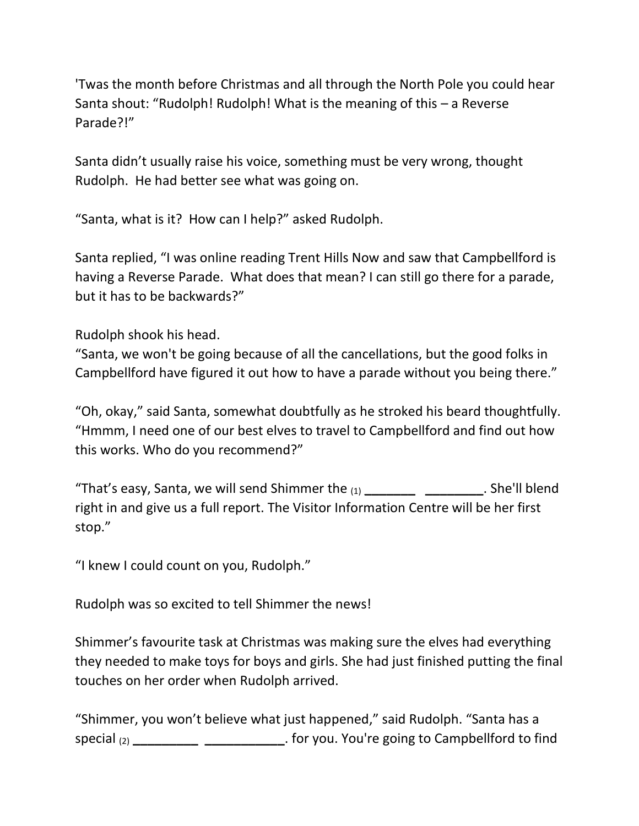'Twas the month before Christmas and all through the North Pole you could hear Santa shout: "Rudolph! Rudolph! What is the meaning of this – a Reverse Parade?!"

Santa didn't usually raise his voice, something must be very wrong, thought Rudolph. He had better see what was going on.

"Santa, what is it? How can I help?" asked Rudolph.

Santa replied, "I was online reading Trent Hills Now and saw that Campbellford is having a Reverse Parade. What does that mean? I can still go there for a parade, but it has to be backwards?"

Rudolph shook his head.

"Santa, we won't be going because of all the cancellations, but the good folks in Campbellford have figured it out how to have a parade without you being there."

"Oh, okay," said Santa, somewhat doubtfully as he stroked his beard thoughtfully. "Hmmm, I need one of our best elves to travel to Campbellford and find out how this works. Who do you recommend?"

"That's easy, Santa, we will send Shimmer the (1) **\_\_\_\_\_\_\_ \_\_\_\_\_\_\_\_**. She'll blend right in and give us a full report. The Visitor Information Centre will be her first stop."

"I knew I could count on you, Rudolph."

Rudolph was so excited to tell Shimmer the news!

Shimmer's favourite task at Christmas was making sure the elves had everything they needed to make toys for boys and girls. She had just finished putting the final touches on her order when Rudolph arrived.

"Shimmer, you won't believe what just happened," said Rudolph. "Santa has a special (2) **\_\_\_\_\_\_\_\_\_ \_\_\_\_\_\_\_\_\_\_\_**. for you. You're going to Campbellford to find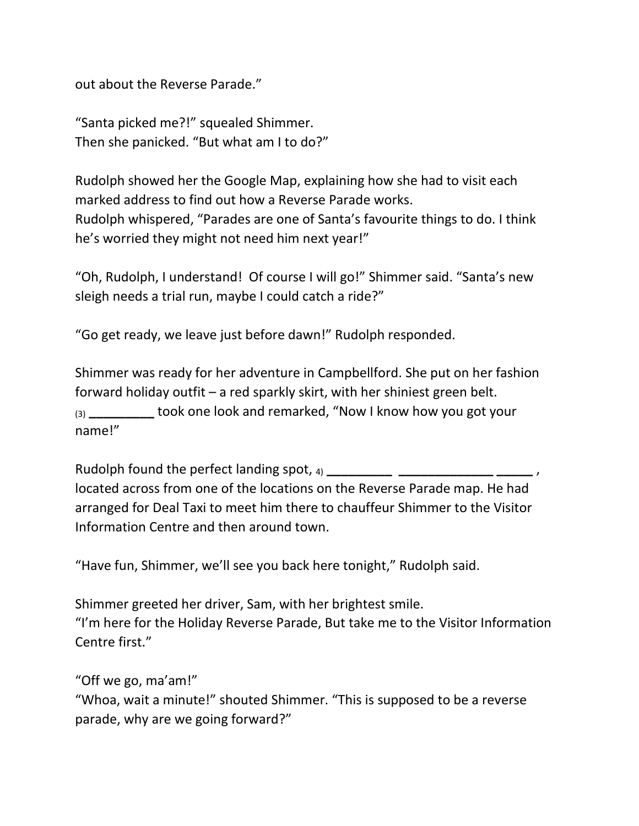out about the Reverse Parade."

"Santa picked me?!" squealed Shimmer. Then she panicked. "But what am I to do?"

Rudolph showed her the Google Map, explaining how she had to visit each marked address to find out how a Reverse Parade works. Rudolph whispered, "Parades are one of Santa's favourite things to do. I think he's worried they might not need him next year!"

"Oh, Rudolph, I understand! Of course I will go!" Shimmer said. "Santa's new sleigh needs a trial run, maybe I could catch a ride?"

"Go get ready, we leave just before dawn!" Rudolph responded.

Shimmer was ready for her adventure in Campbellford. She put on her fashion forward holiday outfit – a red sparkly skirt, with her shiniest green belt. (3) **\_\_\_\_\_\_\_\_\_** took one look and remarked, "Now I know how you got your name!"

Rudolph found the perfect landing spot, 4) **with all and the perfect** landing spot, 4) located across from one of the locations on the Reverse Parade map. He had arranged for Deal Taxi to meet him there to chauffeur Shimmer to the Visitor Information Centre and then around town.

"Have fun, Shimmer, we'll see you back here tonight," Rudolph said.

Shimmer greeted her driver, Sam, with her brightest smile. "I'm here for the Holiday Reverse Parade, But take me to the Visitor Information Centre first."

"Off we go, ma'am!"

"Whoa, wait a minute!" shouted Shimmer. "This is supposed to be a reverse parade, why are we going forward?"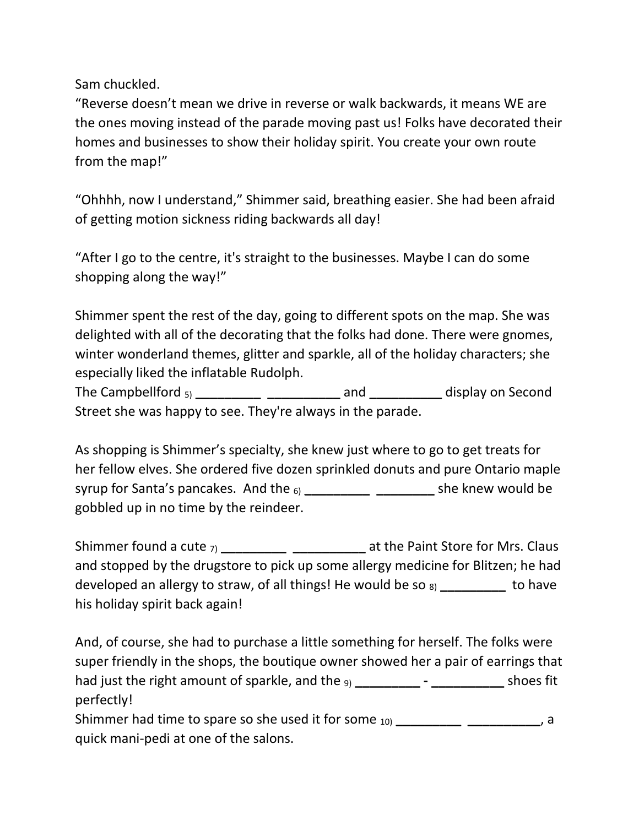Sam chuckled.

"Reverse doesn't mean we drive in reverse or walk backwards, it means WE are the ones moving instead of the parade moving past us! Folks have decorated their homes and businesses to show their holiday spirit. You create your own route from the map!"

"Ohhhh, now I understand," Shimmer said, breathing easier. She had been afraid of getting motion sickness riding backwards all day!

"After I go to the centre, it's straight to the businesses. Maybe I can do some shopping along the way!"

Shimmer spent the rest of the day, going to different spots on the map. She was delighted with all of the decorating that the folks had done. There were gnomes, winter wonderland themes, glitter and sparkle, all of the holiday characters; she especially liked the inflatable Rudolph.

The Campbellford 5) **\_\_\_\_\_\_\_\_\_ \_\_\_\_\_\_\_\_\_\_** and **\_\_\_\_\_\_\_\_\_\_** display on Second Street she was happy to see. They're always in the parade.

As shopping is Shimmer's specialty, she knew just where to go to get treats for her fellow elves. She ordered five dozen sprinkled donuts and pure Ontario maple syrup for Santa's pancakes. And the 6) **\_\_\_\_\_\_\_\_\_ \_\_\_\_\_\_\_\_** she knew would be gobbled up in no time by the reindeer.

Shimmer found a cute 7) **\_\_\_\_\_\_\_\_\_ \_\_\_\_\_\_\_\_\_\_** at the Paint Store for Mrs. Claus and stopped by the drugstore to pick up some allergy medicine for Blitzen; he had developed an allergy to straw, of all things! He would be so 8) **\_\_\_\_\_\_\_\_\_** to have his holiday spirit back again!

And, of course, she had to purchase a little something for herself. The folks were super friendly in the shops, the boutique owner showed her a pair of earrings that had just the right amount of sparkle, and the 9) **\_\_\_\_\_\_\_\_\_ - \_\_\_\_\_\_\_\_\_\_** shoes fit perfectly!

Shimmer had time to spare so she used it for some <sub>10</sub> \_\_\_\_\_\_\_\_\_\_\_\_\_\_\_\_\_\_\_\_\_\_\_, a quick mani-pedi at one of the salons.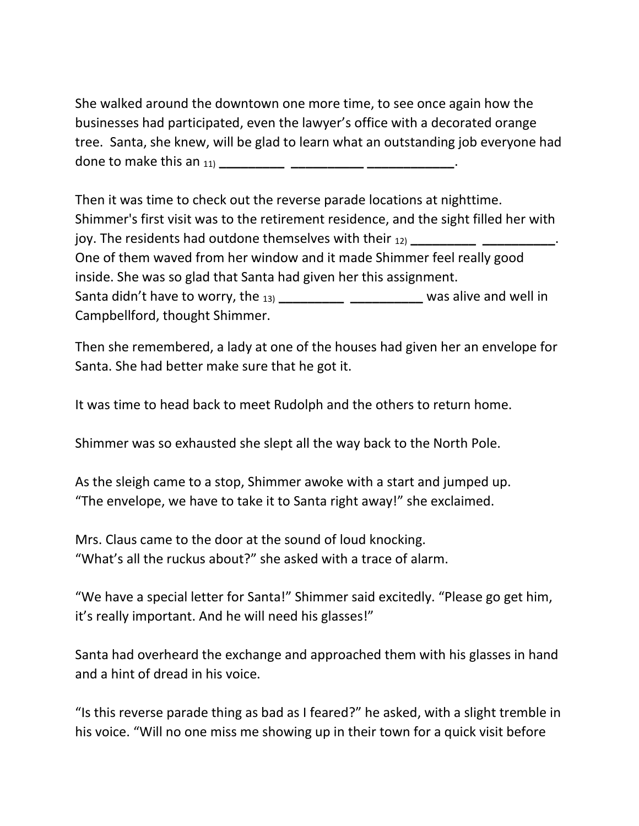She walked around the downtown one more time, to see once again how the businesses had participated, even the lawyer's office with a decorated orange tree. Santa, she knew, will be glad to learn what an outstanding job everyone had done to make this an 11) **\_\_\_\_\_\_\_\_\_ \_\_\_\_\_\_\_\_\_\_ \_\_\_\_\_\_\_\_\_\_\_\_**.

Then it was time to check out the reverse parade locations at nighttime. Shimmer's first visit was to the retirement residence, and the sight filled her with joy. The residents had outdone themselves with their 12) **\_\_\_\_\_\_\_\_\_ \_\_\_\_\_\_\_\_\_\_**. One of them waved from her window and it made Shimmer feel really good inside. She was so glad that Santa had given her this assignment. Santa didn't have to worry, the 13) **\_\_\_\_\_\_\_\_\_ \_\_\_\_\_\_\_\_\_\_** was alive and well in Campbellford, thought Shimmer.

Then she remembered, a lady at one of the houses had given her an envelope for Santa. She had better make sure that he got it.

It was time to head back to meet Rudolph and the others to return home.

Shimmer was so exhausted she slept all the way back to the North Pole.

As the sleigh came to a stop, Shimmer awoke with a start and jumped up. "The envelope, we have to take it to Santa right away!" she exclaimed.

Mrs. Claus came to the door at the sound of loud knocking. "What's all the ruckus about?" she asked with a trace of alarm.

"We have a special letter for Santa!" Shimmer said excitedly. "Please go get him, it's really important. And he will need his glasses!"

Santa had overheard the exchange and approached them with his glasses in hand and a hint of dread in his voice.

"Is this reverse parade thing as bad as I feared?" he asked, with a slight tremble in his voice. "Will no one miss me showing up in their town for a quick visit before